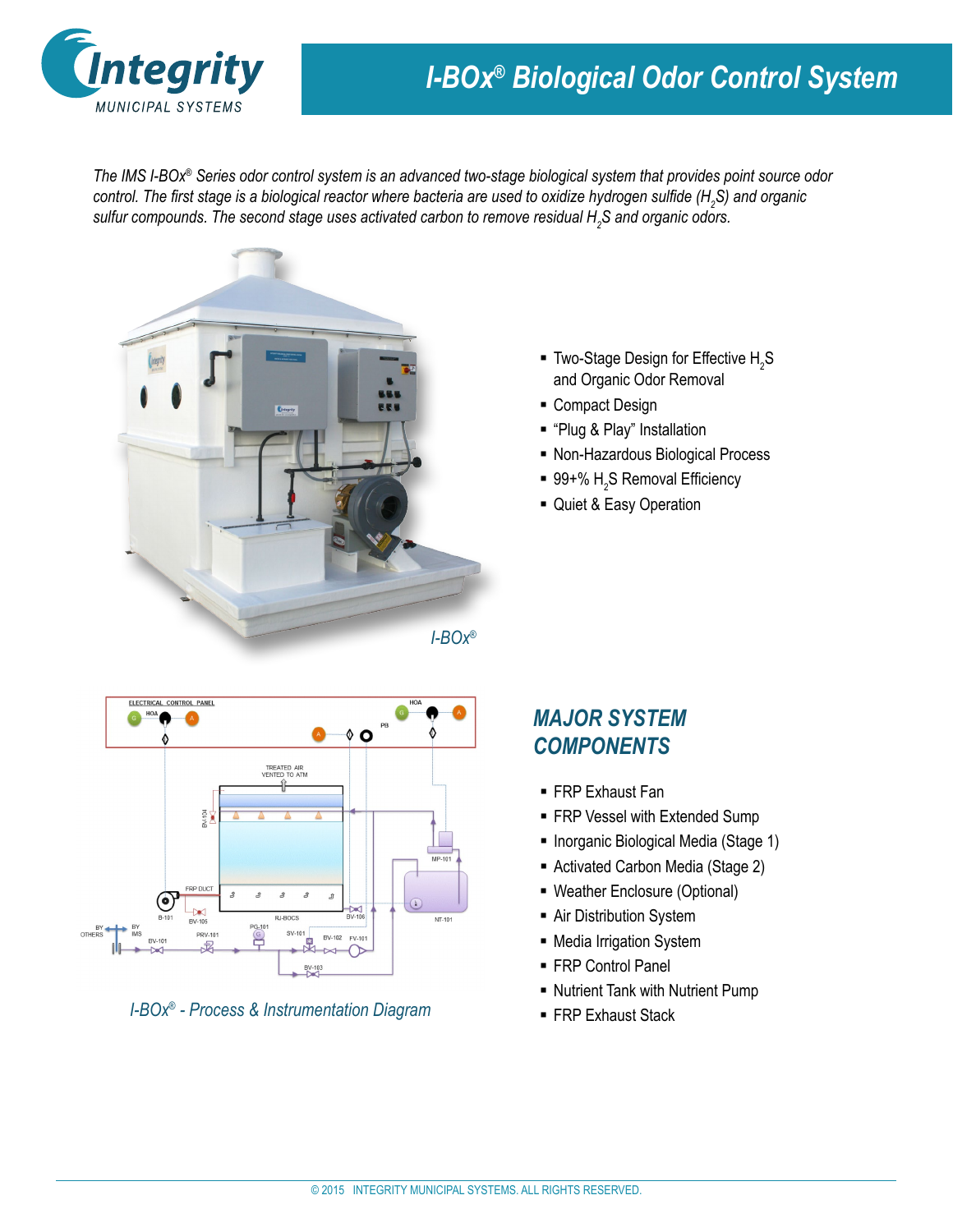

## *I-BOx® Biological Odor Control System*

*The IMS I-BOx® Series odor control system is an advanced two-stage biological system that provides point source odor control. The first stage is a biological reactor where bacteria are used to oxidize hydrogen sulfide (H<sup>2</sup> S) and organic sulfur compounds. The second stage uses activated carbon to remove residual H<sup>2</sup> S and organic odors.*



- **Two-Stage Design for Effective**  $H_2S$ and Organic Odor Removal
- Compact Design
- "Plug & Play" Installation
- Non-Hazardous Biological Process
- 99+%  $\mathsf{H}_2$ S Removal Efficiency
- Quiet & Easy Operation





## *MAJOR SYSTEM COMPONENTS*

- FRP Exhaust Fan
- FRP Vessel with Extended Sump
- **Inorganic Biological Media (Stage 1)**
- Activated Carbon Media (Stage 2)
- Weather Enclosure (Optional)
- **-** Air Distribution System
- Media Irrigation System
- FRP Control Panel
- Nutrient Tank with Nutrient Pump
-